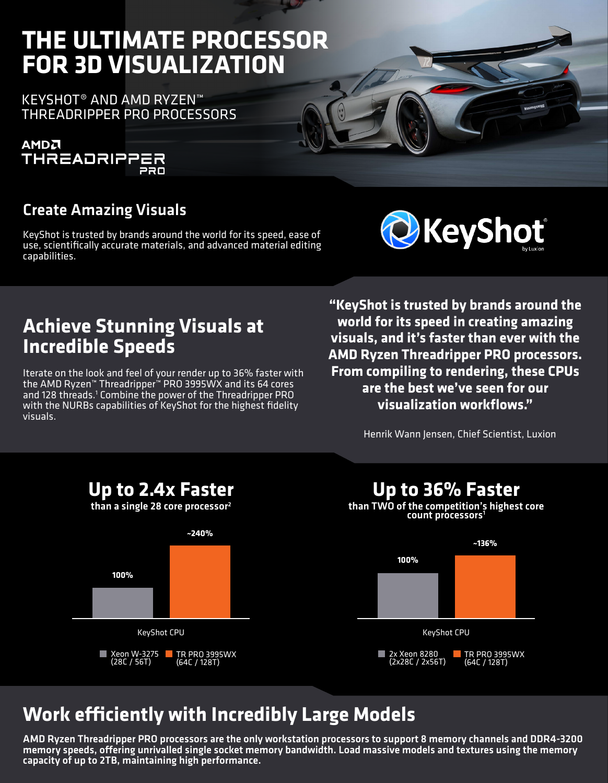# **THE ULTIMATE PROCESSOR FOR 3D VISUALIZATION**

KEYSHOT® AND AMD RYZEN™ THREADRIPPER PRO PROCESSORS



#### Create Amazing Visuals

KeyShot is trusted by brands around the world for its speed, ease of use, scientifically accurate materials, and advanced material editing capabilities.



### **Achieve Stunning Visuals at Incredible Speeds**

Iterate on the look and feel of your render up to 36% faster with the AMD Ryzen™ Threadripper™ PRO 3995WX and its 64 cores and 128 threads.<sup>1</sup> Combine the power of the Threadripper PRO with the NURBs capabilities of KeyShot for the highest fidelity visuals.

**"KeyShot is trusted by brands around the world for its speed in creating amazing visuals, and it's faster than ever with the AMD Ryzen Threadripper PRO processors. From compiling to rendering, these CPUs are the best we've seen for our visualization workflows."**

Henrik Wann Jensen, Chief Scientist, Luxion



# **Work efficiently with Incredibly Large Models**

AMD Ryzen Threadripper PRO processors are the only workstation processors to support 8 memory channels and DDR4-3200 memory speeds, offering unrivalled single socket memory bandwidth. Load massive models and textures using the memory capacity of up to 2TB, maintaining high performance.